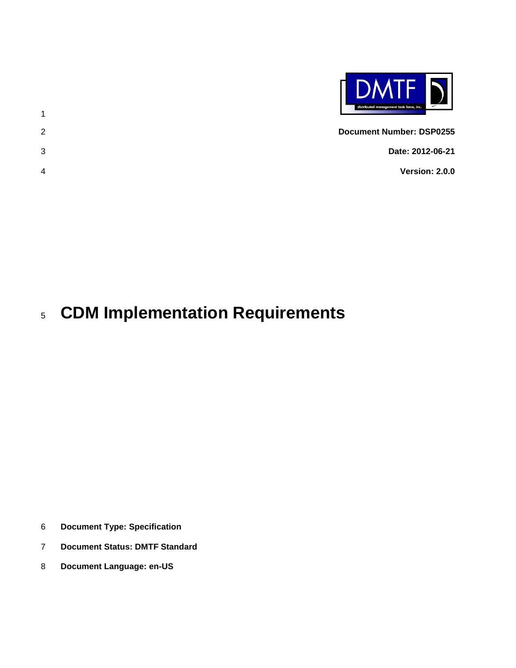

 **Document Number: DSP0255 Date: 2012-06-21 Version: 2.0.0**

# **CDM Implementation Requirements**

- **Document Type: Specification**
- **Document Status: DMTF Standard**
- **Document Language: en-US**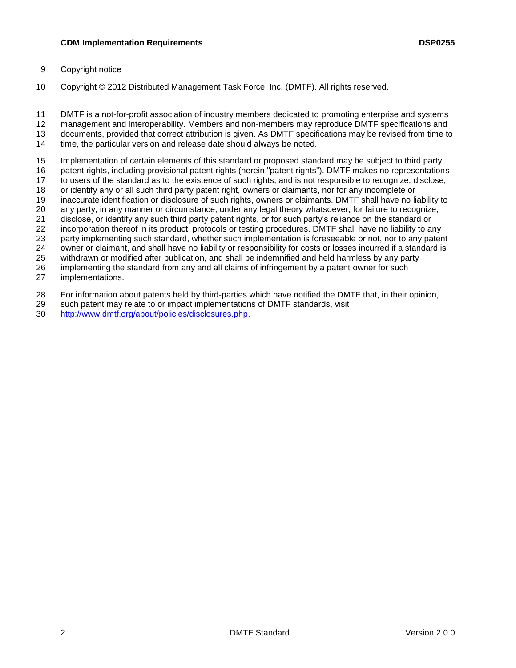#### 9 Copyright notice

Copyright © 2012 Distributed Management Task Force, Inc. (DMTF). All rights reserved.

 DMTF is a not-for-profit association of industry members dedicated to promoting enterprise and systems management and interoperability. Members and non-members may reproduce DMTF specifications and

documents, provided that correct attribution is given. As DMTF specifications may be revised from time to

time, the particular version and release date should always be noted.

Implementation of certain elements of this standard or proposed standard may be subject to third party

patent rights, including provisional patent rights (herein "patent rights"). DMTF makes no representations

to users of the standard as to the existence of such rights, and is not responsible to recognize, disclose,

 or identify any or all such third party patent right, owners or claimants, nor for any incomplete or inaccurate identification or disclosure of such rights, owners or claimants. DMTF shall have no liability to

any party, in any manner or circumstance, under any legal theory whatsoever, for failure to recognize,

disclose, or identify any such third party patent rights, or for such party's reliance on the standard or

incorporation thereof in its product, protocols or testing procedures. DMTF shall have no liability to any

party implementing such standard, whether such implementation is foreseeable or not, nor to any patent

owner or claimant, and shall have no liability or responsibility for costs or losses incurred if a standard is

withdrawn or modified after publication, and shall be indemnified and held harmless by any party

implementing the standard from any and all claims of infringement by a patent owner for such

implementations.

For information about patents held by third-parties which have notified the DMTF that, in their opinion,

such patent may relate to or impact implementations of DMTF standards, visit

[http://www.dmtf.org/about/policies/disclosures.php.](http://www.dmtf.org/about/policies/disclosures.php)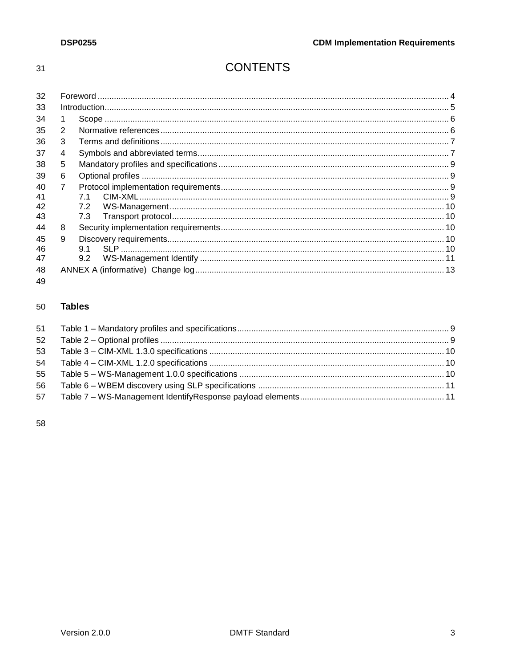31

# **CONTENTS**

| 32       |                |     |  |
|----------|----------------|-----|--|
| 33       |                |     |  |
| 34       | 1.             |     |  |
| 35       | $\mathcal{P}$  |     |  |
| 36       | 3              |     |  |
| 37       | 4              |     |  |
| 38       | 5              |     |  |
| 39       | 6              |     |  |
| 40       | $\overline{7}$ |     |  |
| 41       |                | 71  |  |
| 42       |                | 7.2 |  |
| 43       |                | 7.3 |  |
| 44       | 8              |     |  |
| 45       | 9              |     |  |
| 46       |                | 91  |  |
| 47       |                | 9.2 |  |
| 48<br>49 |                |     |  |

#### **Tables** 50

| 52 |  |
|----|--|
| 53 |  |
| 54 |  |
| 55 |  |
| 56 |  |
| 57 |  |

58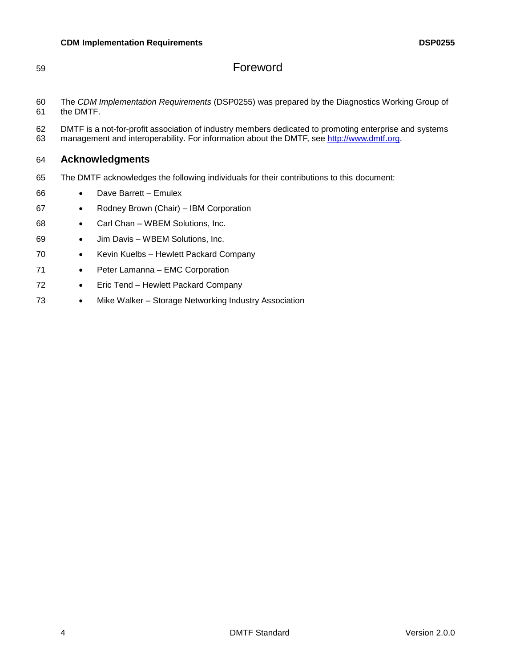### <span id="page-3-0"></span>Foreword

- The *CDM Implementation Requirements* (DSP0255) was prepared by the Diagnostics Working Group of the DMTF.
- 62 DMTF is a not-for-profit association of industry members dedicated to promoting enterprise and systems 63 management and interoperability. For information about the DMTF, see http://www.dmtf.org. management and interoperability. For information about the DMTF, see [http://www.dmtf.org.](http://www.dmtf.org/)

#### **Acknowledgments**

- The DMTF acknowledges the following individuals for their contributions to this document:
- Dave Barrett Emulex
- Rodney Brown (Chair) IBM Corporation
- Carl Chan WBEM Solutions, Inc.
- Jim Davis WBEM Solutions, Inc.
- 70 Kevin Kuelbs Hewlett Packard Company
- **•** Peter Lamanna EMC Corporation
- 72 Eric Tend Hewlett Packard Company
- **•** Mike Walker Storage Networking Industry Association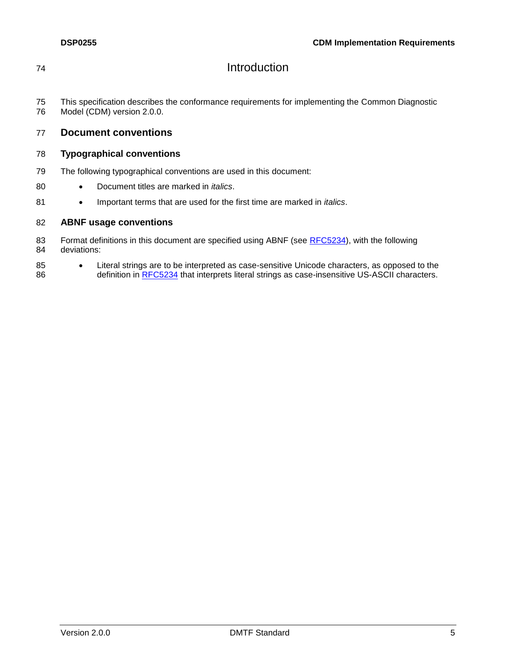### <span id="page-4-0"></span>Introduction

This specification describes the conformance requirements for implementing the Common Diagnostic

Model (CDM) version 2.0.0.

### **Document conventions**

#### **Typographical conventions**

- The following typographical conventions are used in this document:
- Document titles are marked in *italics*.
- Important terms that are used for the first time are marked in *italics*.

#### **ABNF usage conventions**

- 83 Format definitions in this document are specified using ABNF (see [RFC5234\)](#page-6-2), with the following deviations:
- **External strings are to be interpreted as case-sensitive Unicode characters, as opposed to the** 86 definition in [RFC5234](#page-6-2) that interprets literal strings as case-insensitive US-ASCII characters.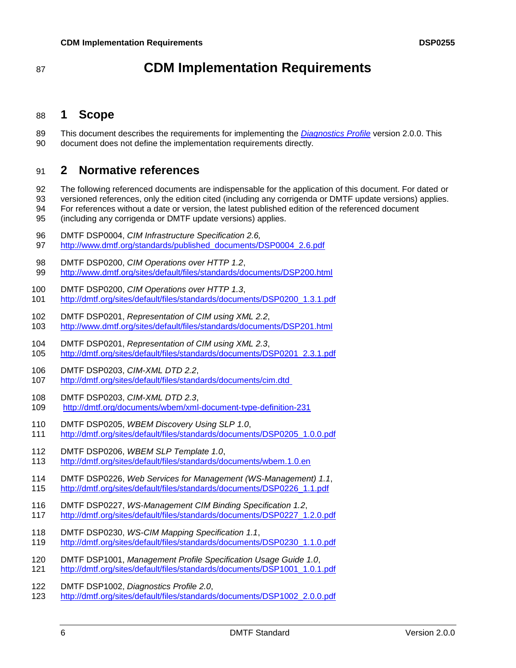# **CDM Implementation Requirements**

### <span id="page-5-0"></span>**1 Scope**

 This document describes the requirements for implementing the *[Diagnostics Profile](#page-5-2)* version 2.0.0. This document does not define the implementation requirements directly.

### <span id="page-5-1"></span>**2 Normative references**

 The following referenced documents are indispensable for the application of this document. For dated or versioned references, only the edition cited (including any corrigenda or DMTF update versions) applies. For references without a date or version, the latest published edition of the referenced document

- (including any corrigenda or DMTF update versions) applies.
- <span id="page-5-3"></span>DMTF DSP0004, *CIM Infrastructure Specification 2.6,*
- <span id="page-5-8"></span>[http://www.dmtf.org/standards/published\\_documents/DSP0004\\_2.6.pdf](http://www.dmtf.org/standards/published_documents/DSP0004_2.6.pdf)
- DMTF DSP0200, *CIM Operations over HTTP 1.2*,
- <span id="page-5-4"></span><http://www.dmtf.org/sites/default/files/standards/documents/DSP200.html>
- DMTF DSP0200, *CIM Operations over HTTP 1.3*,
- [http://dmtf.org/sites/default/files/standards/documents/DSP0200\\_1.3.1.pdf](http://dmtf.org/sites/default/files/standards/documents/DSP0200_1.3.1.pdf)
- <span id="page-5-9"></span>DMTF DSP0201, *Representation of CIM using XML 2.2*,
- <http://www.dmtf.org/sites/default/files/standards/documents/DSP201.html>
- <span id="page-5-6"></span>DMTF DSP0201, *Representation of CIM using XML 2.3*,
- [http://dmtf.org/sites/default/files/standards/documents/DSP0201\\_2.3.1.pdf](http://dmtf.org/sites/default/files/standards/documents/DSP0201_2.3.1.pdf)
- <span id="page-5-10"></span>DMTF DSP0203, *CIM-XML DTD 2.2*,
- <http://dmtf.org/sites/default/files/standards/documents/cim.dtd>
- <span id="page-5-7"></span>DMTF DSP0203, *CIM-XML DTD 2.3*,
- <http://dmtf.org/documents/wbem/xml-document-type-definition-231>
- <span id="page-5-14"></span>DMTF DSP0205, *WBEM Discovery Using SLP 1.0*,
- [http://dmtf.org/sites/default/files/standards/documents/DSP0205\\_1.0.0.pdf](http://dmtf.org/sites/default/files/standards/documents/DSP0205_1.0.0.pdf)
- <span id="page-5-15"></span>DMTF DSP0206, *WBEM SLP Template 1.0*,
- <span id="page-5-11"></span><http://dmtf.org/sites/default/files/standards/documents/wbem.1.0.en>
- DMTF DSP0226, *Web Services for Management (WS-Management) 1.1*,
- [http://dmtf.org/sites/default/files/standards/documents/DSP0226\\_1.1.pdf](http://dmtf.org/sites/default/files/standards/documents/DSP0226_1.1.pdf)
- <span id="page-5-12"></span>DMTF DSP0227, *WS-Management CIM Binding Specification 1.2*,
- [http://dmtf.org/sites/default/files/standards/documents/DSP0227\\_1.2.0.pdf](http://dmtf.org/sites/default/files/standards/documents/DSP0227_1.2.0.pdf)
- <span id="page-5-13"></span>DMTF DSP0230, *WS-CIM Mapping Specification 1.1*,
- <span id="page-5-5"></span>[http://dmtf.org/sites/default/files/standards/documents/DSP0230\\_1.1.0.pdf](http://dmtf.org/sites/default/files/standards/documents/DSP0230_1.1.0.pdf)
- DMTF DSP1001, *Management Profile Specification Usage Guide 1.0*,
- [http://dmtf.org/sites/default/files/standards/documents/DSP1001\\_1.0.1.pdf](http://dmtf.org/sites/default/files/standards/documents/DSP1001_1.0.1.pdf)
- <span id="page-5-2"></span>DMTF DSP1002, *Diagnostics Profile 2.0*,
- [http://dmtf.org/sites/default/files/standards/documents/DSP1002\\_2.0.0.pdf](http://dmtf.org/sites/default/files/standards/documents/DSP1002_2.0.0.pdf)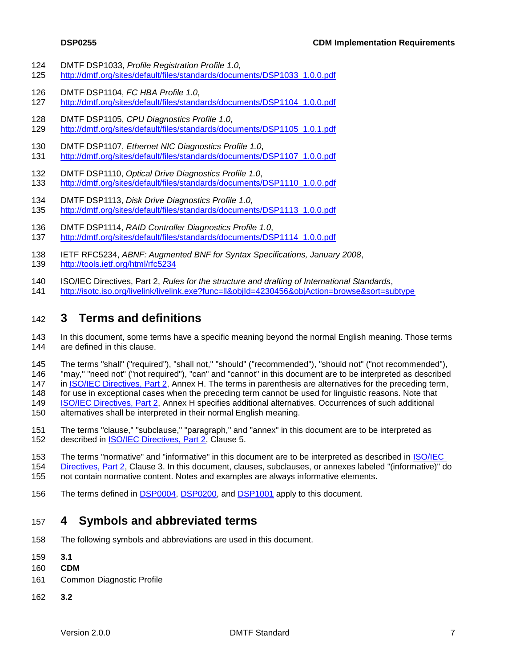- <span id="page-6-4"></span>DMTF DSP1033, *Profile Registration Profile 1.0*,
- [http://dmtf.org/sites/default/files/standards/documents/DSP1033\\_1.0.0.pdf](http://dmtf.org/sites/default/files/standards/documents/DSP1033_1.0.0.pdf)
- <span id="page-6-5"></span>DMTF DSP1104, *FC HBA Profile 1.0*,
- [http://dmtf.org/sites/default/files/standards/documents/DSP1104\\_1.0.0.pdf](http://dmtf.org/sites/default/files/standards/documents/DSP1104_1.0.0.pdf)
- <span id="page-6-6"></span> DMTF DSP1105, *CPU Diagnostics Profile 1.0*, [http://dmtf.org/sites/default/files/standards/documents/DSP1105\\_1.0.1.pdf](http://dmtf.org/sites/default/files/standards/documents/DSP1105_1.0.1.pdf)
- <span id="page-6-7"></span>DMTF DSP1107, *Ethernet NIC Diagnostics Profile 1.0*,
- <span id="page-6-8"></span>[http://dmtf.org/sites/default/files/standards/documents/DSP1107\\_1.0.0.pdf](http://dmtf.org/sites/default/files/standards/documents/DSP1107_1.0.0.pdf)
- DMTF DSP1110, *Optical Drive Diagnostics Profile 1.0*, [http://dmtf.org/sites/default/files/standards/documents/DSP1110\\_1.0.0.pdf](http://dmtf.org/sites/default/files/standards/documents/DSP1110_1.0.0.pdf)
- <span id="page-6-9"></span>DMTF DSP1113, *Disk Drive Diagnostics Profile 1.0*,
- [http://dmtf.org/sites/default/files/standards/documents/DSP1113\\_1.0.0.pdf](http://dmtf.org/sites/default/files/standards/documents/DSP1113_1.0.0.pdf)
- <span id="page-6-10"></span>DMTF DSP1114, *RAID Controller Diagnostics Profile 1.0*,
- [http://dmtf.org/sites/default/files/standards/documents/DSP1114\\_1.0.0.pdf](http://dmtf.org/sites/default/files/standards/documents/DSP1114_1.0.0.pdf)
- <span id="page-6-2"></span> IETF RFC5234, *ABNF: Augmented BNF for Syntax Specifications, January 2008*, <http://tools.ietf.org/html/rfc5234>
- <span id="page-6-3"></span> ISO/IEC Directives, Part 2, *Rules for the structure and drafting of International Standards*, <http://isotc.iso.org/livelink/livelink.exe?func=ll&objId=4230456&objAction=browse&sort=subtype>

### <span id="page-6-0"></span>**3 Terms and definitions**

 In this document, some terms have a specific meaning beyond the normal English meaning. Those terms are defined in this clause.

- The terms "shall" ("required"), "shall not," "should" ("recommended"), "should not" ("not recommended"),
- "may," "need not" ("not required"), "can" and "cannot" in this document are to be interpreted as described

147 in [ISO/IEC Directives, Part 2,](#page-6-3) Annex H. The terms in parenthesis are alternatives for the preceding term,

148 for use in exceptional cases when the preceding term cannot be used for linguistic reasons. Note that [ISO/IEC Directives, Part 2,](#page-6-3) Annex H specifies additional alternatives. Occurrences of such additional

- alternatives shall be interpreted in their normal English meaning.
- The terms "clause," "subclause," "paragraph," and "annex" in this document are to be interpreted as 152 described in **ISO/IEC Directives, Part 2, Clause 5.**
- The terms "normative" and "informative" in this document are to be interpreted as described in [ISO/IEC](#page-6-3)
- [Directives, Part 2,](#page-6-3) Clause 3. In this document, clauses, subclauses, or annexes labeled "(informative)" do not contain normative content. Notes and examples are always informative elements.
- <span id="page-6-1"></span>The terms defined in [DSP0004,](#page-5-3) [DSP0200,](#page-5-4) and [DSP1001](#page-5-5) apply to this document.

## **4 Symbols and abbreviated terms**

- The following symbols and abbreviations are used in this document.
- **3.1**
- **CDM**
- Common Diagnostic Profile
- **3.2**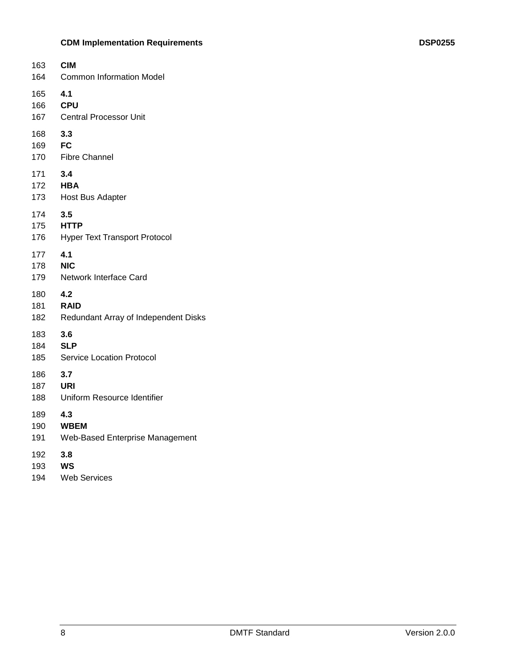### **CDM Implementation Requirements DSP0255**

| 163 | <b>CIM</b>                           |
|-----|--------------------------------------|
| 164 | <b>Common Information Model</b>      |
| 165 | 4.1                                  |
| 166 | <b>CPU</b>                           |
| 167 | <b>Central Processor Unit</b>        |
| 168 | 3.3                                  |
| 169 | <b>FC</b>                            |
| 170 | <b>Fibre Channel</b>                 |
| 171 | 3.4                                  |
| 172 | HBA                                  |
| 173 | <b>Host Bus Adapter</b>              |
| 174 | 3.5                                  |
| 175 | <b>HTTP</b>                          |
| 176 | <b>Hyper Text Transport Protocol</b> |
| 177 | 4.1                                  |
| 178 | <b>NIC</b>                           |
| 179 | Network Interface Card               |
| 180 | 4.2                                  |
| 181 | <b>RAID</b>                          |
| 182 | Redundant Array of Independent Disks |
| 183 | 3.6                                  |
| 184 | <b>SLP</b>                           |
| 185 | <b>Service Location Protocol</b>     |
| 186 | 3.7                                  |
| 187 | URI                                  |
| 188 | Uniform Resource Identifier          |
| 189 | 4.3                                  |
| 190 | <b>WBEM</b>                          |
| 191 | Web-Based Enterprise Management      |
| 192 | 3.8                                  |
| 193 | <b>WS</b>                            |

Web Services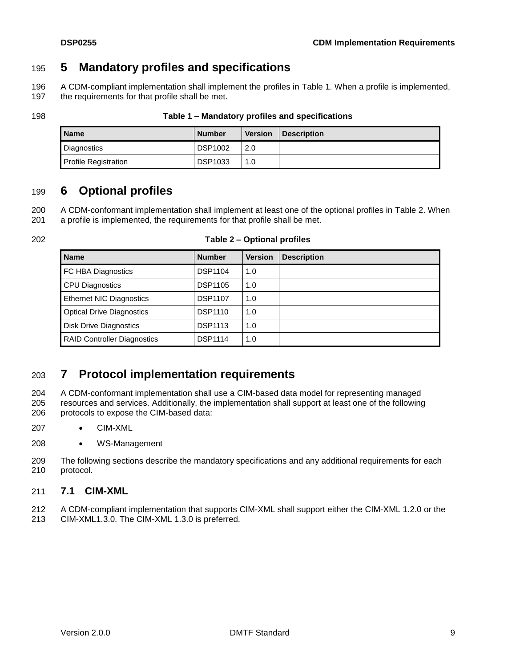## <span id="page-8-0"></span>195 **5 Mandatory profiles and specifications**

196 A CDM-compliant implementation shall implement the profiles in [Table 1.](#page-8-4) When a profile is implemented, 197 the requirements for that profile shall be met.

<span id="page-8-4"></span>

| <b>Name</b>                 | <b>Number</b>  | <b>Version</b> | Description |
|-----------------------------|----------------|----------------|-------------|
| Diagnostics                 | <b>DSP1002</b> | 2.0            |             |
| <b>Profile Registration</b> | <b>DSP1033</b> | 1.0            |             |

#### 198 **Table 1 – Mandatory profiles and specifications**

## <span id="page-8-1"></span>199 **6 Optional profiles**

200 A CDM-conformant implementation shall implement at least one of the optional profiles in [Table 2.](#page-8-5) When 201 a profile is implemented, the requirements for that profile shall be met.

| Table 2 - Optional profiles<br>202 |
|------------------------------------|
|                                    |

<span id="page-8-5"></span>

| <b>Name</b>                        | <b>Number</b>  | <b>Version</b> | <b>Description</b> |
|------------------------------------|----------------|----------------|--------------------|
| FC HBA Diagnostics                 | <b>DSP1104</b> | 1.0            |                    |
| <b>CPU Diagnostics</b>             | <b>DSP1105</b> | 1.0            |                    |
| <b>Ethernet NIC Diagnostics</b>    | <b>DSP1107</b> | 1.0            |                    |
| <b>Optical Drive Diagnostics</b>   | <b>DSP1110</b> | 1.0            |                    |
| <b>Disk Drive Diagnostics</b>      | <b>DSP1113</b> | 1.0            |                    |
| <b>RAID Controller Diagnostics</b> | <b>DSP1114</b> | 1.0            |                    |

## <span id="page-8-2"></span>203 **7 Protocol implementation requirements**

204 A CDM-conformant implementation shall use a CIM-based data model for representing managed 205 resources and services. Additionally, the implementation shall support at least one of the following 206 protocols to expose the CIM-based data:

207 · CIM-XML

208 WS-Management

209 The following sections describe the mandatory specifications and any additional requirements for each 210 protocol.

#### <span id="page-8-3"></span>211 **7.1 CIM-XML**

212 A CDM-compliant implementation that supports CIM-XML shall support either the CIM-XML 1.2.0 or the 213 CIM-XML1.3.0. The CIM-XML 1.3.0 is preferred.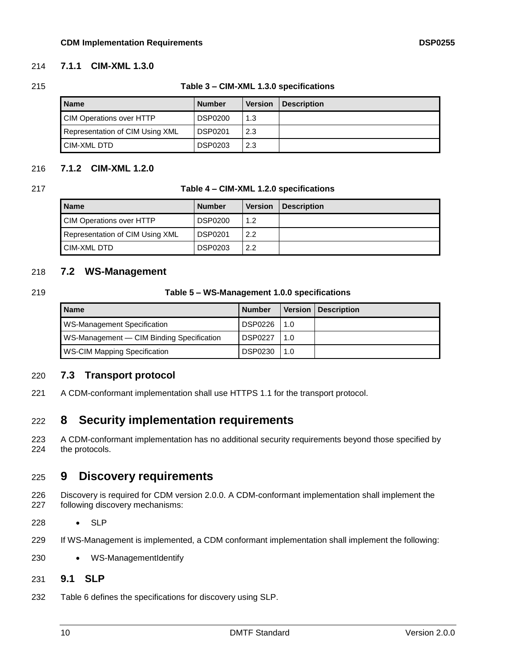#### **CDM Implementation Requirements DSP0255**

#### **7.1.1 CIM-XML 1.3.0**

#### **Table 3 – CIM-XML 1.3.0 specifications**

<span id="page-9-5"></span>

| <b>Name</b>                     | <b>Number</b>  | Version | <b>Description</b> |
|---------------------------------|----------------|---------|--------------------|
| <b>CIM Operations over HTTP</b> | <b>DSP0200</b> | 1.3     |                    |
| Representation of CIM Using XML | <b>DSP0201</b> | 2.3     |                    |
| CIM-XML DTD                     | <b>DSP0203</b> | 2.3     |                    |

#### **7.1.2 CIM-XML 1.2.0**

#### **Table 4 – CIM-XML 1.2.0 specifications**

<span id="page-9-6"></span>

| <b>Name</b>                     | <b>Number</b>  | <b>Version</b> | <b>Description</b> |
|---------------------------------|----------------|----------------|--------------------|
| <b>CIM Operations over HTTP</b> | <b>DSP0200</b> | 1.2            |                    |
| Representation of CIM Using XML | <b>DSP0201</b> | 2.2            |                    |
| CIM-XML DTD                     | <b>DSP0203</b> | 2.2            |                    |

#### <span id="page-9-0"></span>**7.2 WS-Management**

#### **Table 5 – WS-Management 1.0.0 specifications**

<span id="page-9-7"></span>

| <b>Name</b>                               | <b>Number</b>  |     | <b>Version   Description</b> |
|-------------------------------------------|----------------|-----|------------------------------|
| WS-Management Specification               | <b>DSP0226</b> | 1.0 |                              |
| WS-Management - CIM Binding Specification | <b>DSP0227</b> | 1.0 |                              |
| <b>WS-CIM Mapping Specification</b>       | <b>DSP0230</b> | 1.0 |                              |

#### <span id="page-9-1"></span>**7.3 Transport protocol**

<span id="page-9-2"></span>A CDM-conformant implementation shall use HTTPS 1.1 for the transport protocol.

### **8 Security implementation requirements**

 A CDM-conformant implementation has no additional security requirements beyond those specified by the protocols.

### <span id="page-9-3"></span>**9 Discovery requirements**

- Discovery is required for CDM version 2.0.0. A CDM-conformant implementation shall implement the following discovery mechanisms:
- SLP
- If WS-Management is implemented, a CDM conformant implementation shall implement the following:
- <span id="page-9-4"></span>WS-ManagementIdentify

#### **9.1 SLP**

[Table 6](#page-10-1) defines the specifications for discovery using SLP.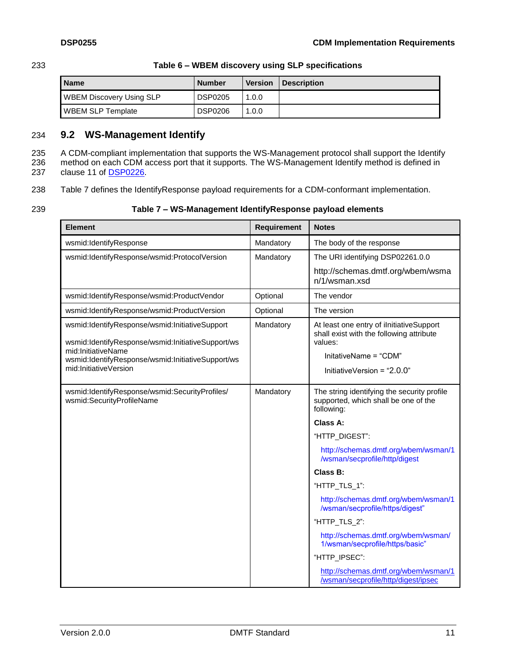| 233 | Table 6 - WBEM discovery using SLP specifications |
|-----|---------------------------------------------------|
|     |                                                   |

<span id="page-10-1"></span>

| <b>Name</b>                     | <b>Number</b>  | <b>Version</b> | Description |
|---------------------------------|----------------|----------------|-------------|
| <b>WBEM Discovery Using SLP</b> | <b>DSP0205</b> | 1.0.0          |             |
| WBEM SLP Template               | <b>DSP0206</b> | 1.0.0          |             |

### <span id="page-10-0"></span>234 **9.2 WS-Management Identify**

235 A CDM-compliant implementation that supports the WS-Management protocol shall support the Identify 236 method on each CDM access port that it supports. The WS-Management Identify method is defined in 237 clause 11 of DSP0226. clause 11 of [DSP0226.](#page-5-11)

238 [Table 7](#page-10-2) defines the IdentifyResponse payload requirements for a CDM-conformant implementation.

239 **Table 7 – WS-Management IdentifyResponse payload elements**

<span id="page-10-2"></span>

| <b>Element</b>                                                                                                            | <b>Requirement</b> | <b>Notes</b>                                                                                                             |
|---------------------------------------------------------------------------------------------------------------------------|--------------------|--------------------------------------------------------------------------------------------------------------------------|
| wsmid:IdentifyResponse                                                                                                    | Mandatory          | The body of the response                                                                                                 |
| wsmid:IdentifyResponse/wsmid:ProtocolVersion                                                                              | Mandatory          | The URI identifying DSP02261.0.0                                                                                         |
|                                                                                                                           |                    | http://schemas.dmtf.org/wbem/wsma<br>n/1/wsman.xsd                                                                       |
| wsmid:IdentifyResponse/wsmid:ProductVendor                                                                                | Optional           | The vendor                                                                                                               |
| wsmid:IdentifyResponse/wsmid:ProductVersion                                                                               | Optional           | The version                                                                                                              |
| wsmid:IdentifyResponse/wsmid:InitiativeSupport<br>wsmid:IdentifyResponse/wsmid:InitiativeSupport/ws<br>mid:InitiativeName | Mandatory          | At least one entry of ilnitiativeSupport<br>shall exist with the following attribute<br>values:<br>InitativeName = "CDM" |
| wsmid:IdentifyResponse/wsmid:InitiativeSupport/ws<br>mid:InitiativeVersion                                                |                    | InitiativeVersion = "2.0.0"                                                                                              |
| wsmid:IdentifyResponse/wsmid:SecurityProfiles/<br>wsmid:SecurityProfileName                                               | Mandatory          | The string identifying the security profile<br>supported, which shall be one of the<br>following:                        |
|                                                                                                                           |                    | Class A:                                                                                                                 |
|                                                                                                                           |                    | "HTTP_DIGEST":                                                                                                           |
|                                                                                                                           |                    | http://schemas.dmtf.org/wbem/wsman/1<br>/wsman/secprofile/http/digest                                                    |
|                                                                                                                           |                    | Class B:                                                                                                                 |
|                                                                                                                           |                    | "HTTP_TLS_1":                                                                                                            |
|                                                                                                                           |                    | http://schemas.dmtf.org/wbem/wsman/1<br>/wsman/secprofile/https/digest"                                                  |
|                                                                                                                           |                    | "HTTP_TLS_2":                                                                                                            |
|                                                                                                                           |                    | http://schemas.dmtf.org/wbem/wsman/<br>1/wsman/secprofile/https/basic"                                                   |
|                                                                                                                           |                    | "HTTP_IPSEC":                                                                                                            |
|                                                                                                                           |                    | http://schemas.dmtf.org/wbem/wsman/1<br>/wsman/secprofile/http/digest/ipsec                                              |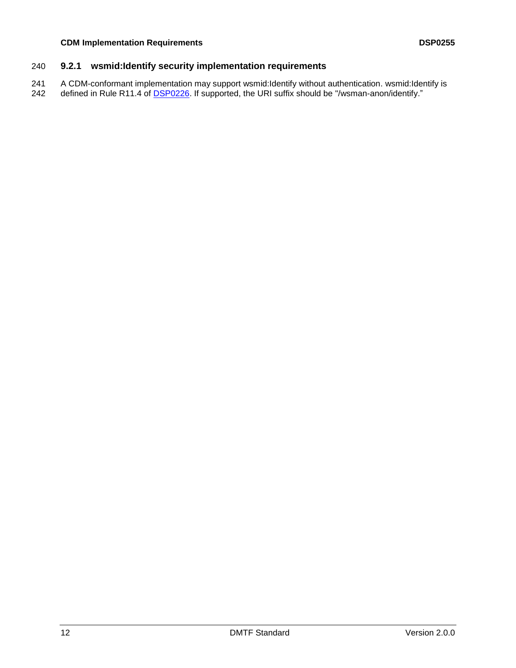#### **CDM Implementation Requirements DSP0255**

### 240 **9.2.1 wsmid:Identify security implementation requirements**

241 A CDM-conformant implementation may support wsmid:Identify without authentication. wsmid:Identify is 242 defined in Rule R11.4 of [DSP0226.](#page-5-11) If supported, the URI suffix should be "/wsman-anon/identify."